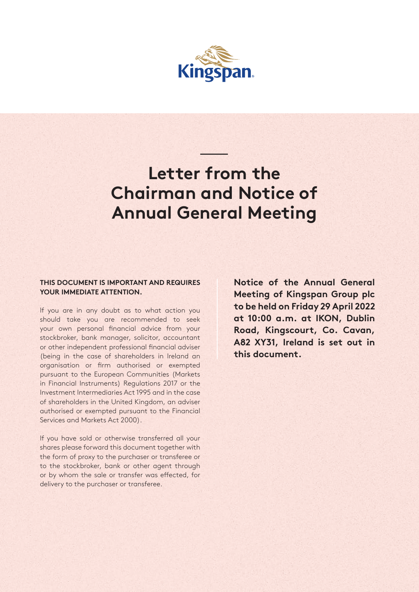

## **Letter from the Chairman and Notice of Annual General Meeting**

ون<br>المنابع<br>المنابع

## **THIS DOCUMENT IS IMPORTANT AND REQUIRES YOUR IMMEDIATE ATTENTION.**

If you are in any doubt as to what action you should take you are recommended to seek your own personal financial advice from your stockbroker, bank manager, solicitor, accountant or other independent professional financial adviser (being in the case of shareholders in Ireland an organisation or firm authorised or exempted pursuant to the European Communities (Markets in Financial Instruments) Regulations 2017 or the Investment Intermediaries Act 1995 and in the case of shareholders in the United Kingdom, an adviser authorised or exempted pursuant to the Financial Services and Markets Act 2000).

If you have sold or otherwise transferred all your shares please forward this document together with the form of proxy to the purchaser or transferee or to the stockbroker, bank or other agent through or by whom the sale or transfer was effected, for delivery to the purchaser or transferee.

**Notice of the Annual General Meeting of Kingspan Group plc to be held on Friday 29 April 2022 at 10:00 a.m. at IKON, Dublin Road, Kingscourt, Co. Cavan, A82 XY31, Ireland is set out in this document.**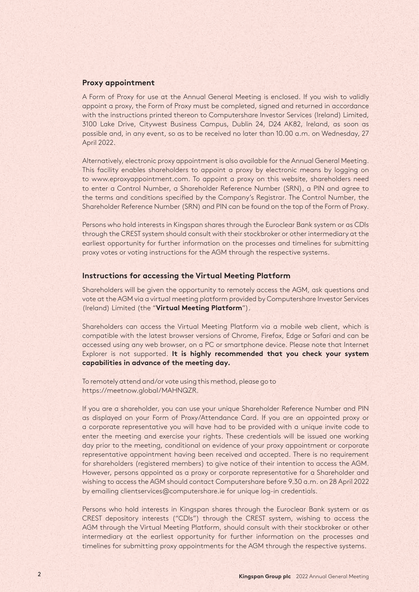## **Proxy appointment**

A Form of Proxy for use at the Annual General Meeting is enclosed. If you wish to validly appoint a proxy, the Form of Proxy must be completed, signed and returned in accordance with the instructions printed thereon to Computershare Investor Services (Ireland) Limited, 3100 Lake Drive, Citywest Business Campus, Dublin 24, D24 AK82, Ireland, as soon as possible and, in any event, so as to be received no later than 10.00 a.m. on Wednesday, 27 April 2022.

Alternatively, electronic proxy appointment is also available for the Annual General Meeting. This facility enables shareholders to appoint a proxy by electronic means by logging on to www.eproxyappointment.com. To appoint a proxy on this website, shareholders need to enter a Control Number, a Shareholder Reference Number (SRN), a PIN and agree to the terms and conditions specified by the Company's Registrar. The Control Number, the Shareholder Reference Number (SRN) and PIN can be found on the top of the Form of Proxy.

Persons who hold interests in Kingspan shares through the Euroclear Bank system or as CDIs through the CREST system should consult with their stockbroker or other intermediary at the earliest opportunity for further information on the processes and timelines for submitting proxy votes or voting instructions for the AGM through the respective systems.

#### **Instructions for accessing the Virtual Meeting Platform**

Shareholders will be given the opportunity to remotely access the AGM, ask questions and vote at the AGM via a virtual meeting platform provided by Computershare Investor Services (Ireland) Limited (the "**Virtual Meeting Platform**").

Shareholders can access the Virtual Meeting Platform via a mobile web client, which is compatible with the latest browser versions of Chrome, Firefox, Edge or Safari and can be accessed using any web browser, on a PC or smartphone device. Please note that Internet Explorer is not supported. **It is highly recommended that you check your system capabilities in advance of the meeting day.**

To remotely attend and/or vote using this method, please go to https://meetnow.global/MAHNQZR.

If you are a shareholder, you can use your unique Shareholder Reference Number and PIN as displayed on your Form of Proxy/Attendance Card. If you are an appointed proxy or a corporate representative you will have had to be provided with a unique invite code to enter the meeting and exercise your rights. These credentials will be issued one working day prior to the meeting, conditional on evidence of your proxy appointment or corporate representative appointment having been received and accepted. There is no requirement for shareholders (registered members) to give notice of their intention to access the AGM. However, persons appointed as a proxy or corporate representative for a Shareholder and wishing to access the AGM should contact Computershare before 9.30 a.m. on 28 April 2022 by emailing clientservices@computershare.ie for unique log-in credentials.

Persons who hold interests in Kingspan shares through the Euroclear Bank system or as CREST depository interests ("CDIs") through the CREST system, wishing to access the AGM through the Virtual Meeting Platform, should consult with their stockbroker or other intermediary at the earliest opportunity for further information on the processes and timelines for submitting proxy appointments for the AGM through the respective systems.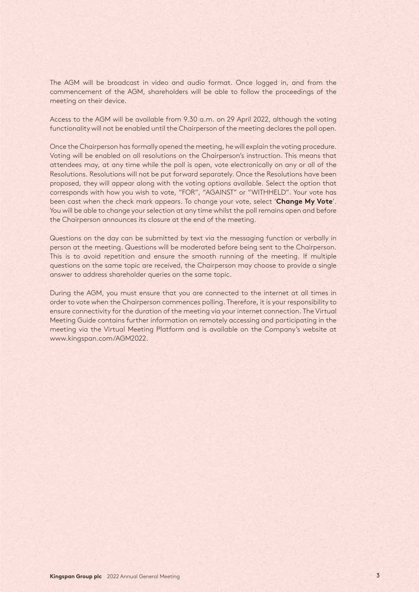The AGM will be broadcast in video and audio format. Once logged in, and from the commencement of the AGM, shareholders will be able to follow the proceedings of the meeting on their device.

Access to the AGM will be available from 9.30 a.m. on 29 April 2022, although the voting functionality will not be enabled until the Chairperson of the meeting declares the poll open.

Once the Chairperson has formally opened the meeting, he will explain the voting procedure. Voting will be enabled on all resolutions on the Chairperson's instruction. This means that attendees may, at any time while the poll is open, vote electronically on any or all of the Resolutions. Resolutions will not be put forward separately. Once the Resolutions have been proposed, they will appear along with the voting options available. Select the option that corresponds with how you wish to vote, "FOR", "AGAINST" or "WITHHELD". Your vote has been cast when the check mark appears. To change your vote, select '**Change My Vote**'. You will be able to change your selection at any time whilst the poll remains open and before the Chairperson announces its closure at the end of the meeting.

Questions on the day can be submitted by text via the messaging function or verbally in person at the meeting. Questions will be moderated before being sent to the Chairperson. This is to avoid repetition and ensure the smooth running of the meeting. If multiple questions on the same topic are received, the Chairperson may choose to provide a single answer to address shareholder queries on the same topic.

During the AGM, you must ensure that you are connected to the internet at all times in order to vote when the Chairperson commences polling. Therefore, it is your responsibility to ensure connectivity for the duration of the meeting via your internet connection. The Virtual Meeting Guide contains further information on remotely accessing and participating in the meeting via the Virtual Meeting Platform and is available on the Company's website at www.kingspan.com/AGM2022.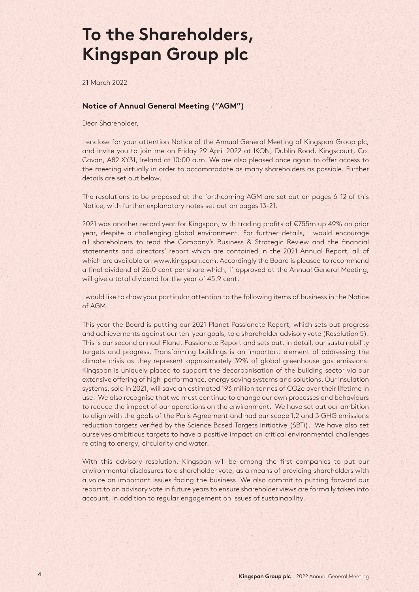## **To the Shareholders, Kingspan Group plc**

21 March 2022

### **Notice of Annual General Meeting ("AGM")**

Dear Shareholder,

I enclose for your attention Notice of the Annual General Meeting of Kingspan Group plc, and invite you to join me on Friday 29 April 2022 at IKON, Dublin Road, Kingscourt, Co. Cavan, A82 XY31, Ireland at 10:00 a.m. We are also pleased once again to offer access to the meeting virtually in order to accommodate as many shareholders as possible. Further details are set out below.

The resolutions to be proposed at the forthcoming AGM are set out on pages 6-12 of this Notice, with further explanatory notes set out on pages 13-21.

2021 was another record year for Kingspan, with trading profits of €755m up 49% on prior year, despite a challenging global environment. For further details, I would encourage all shareholders to read the Company's Business & Strategic Review and the financial statements and directors' report which are contained in the 2021 Annual Report, all of which are available on www.kingspan.com. Accordingly the Board is pleased to recommend a final dividend of 26.0 cent per share which, if approved at the Annual General Meeting, will give a total dividend for the year of 45.9 cent.

I would like to draw your particular attention to the following items of business in the Notice of AGM.

This year the Board is putting our 2021 Planet Passionate Report, which sets out progress and achievements against our ten-year goals, to a shareholder advisory vote (Resolution 5). This is our second annual Planet Passionate Report and sets out, in detail, our sustainability targets and progress. Transforming buildings is an important element of addressing the climate crisis as they represent approximately 39% of global greenhouse gas emissions. Kingspan is uniquely placed to support the decarbonisation of the building sector via our extensive offering of high-performance, energy saving systems and solutions. Our insulation systems, sold in 2021, will save an estimated 193 million tonnes of CO2e over their lifetime in use. We also recognise that we must continue to change our own processes and behaviours to reduce the impact of our operations on the environment. We have set out our ambition to align with the goals of the Paris Agreement and had our scope 1,2 and 3 GHG emissions reduction targets verified by the Science Based Targets initiative (SBTi). We have also set ourselves ambitious targets to have a positive impact on critical environmental challenges relating to energy, circularity and water.

With this advisory resolution, Kingspan will be among the first companies to put our environmental disclosures to a shareholder vote, as a means of providing shareholders with a voice on important issues facing the business. We also commit to putting forward our report to an advisory vote in future years to ensure shareholder views are formally taken into account, in addition to regular engagement on issues of sustainability.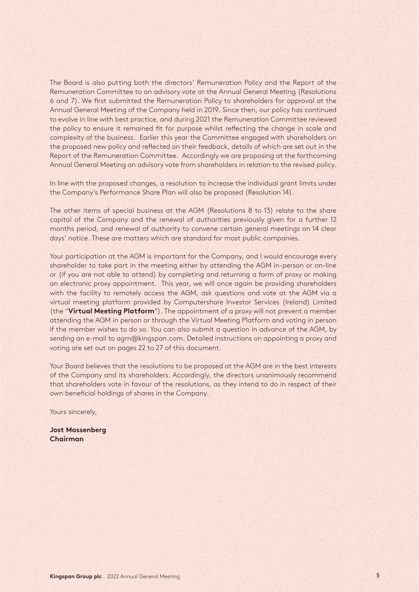The Board is also putting both the directors' Remuneration Policy and the Report of the Remuneration Committee to an advisory vote at the Annual General Meeting (Resolutions 6 and 7). We first submitted the Remuneration Policy to shareholders for approval at the Annual General Meeting of the Company held in 2019. Since then, our policy has continued to evolve in line with best practice, and during 2021 the Remuneration Committee reviewed the policy to ensure it remained fit for purpose whilst reflecting the change in scale and complexity of the business. Earlier this year the Committee engaged with shareholders on the proposed new policy and reflected on their feedback, details of which are set out in the Report of the Remuneration Committee. Accordingly we are proposing at the forthcoming Annual General Meeting an advisory vote from shareholders in relation to the revised policy.

In line with the proposed changes, a resolution to increase the individual grant limits under the Company's Performance Share Plan will also be proposed (Resolution 14).

The other items of special business at the AGM (Resolutions 8 to 13) relate to the share capital of the Company and the renewal of authorities previously given for a further 12 months period, and renewal of authority to convene certain general meetings on 14 clear days' notice. These are matters which are standard for most public companies.

Your participation at the AGM is important for the Company, and I would encourage every shareholder to take part in the meeting either by attending the AGM in-person or on-line or (if you are not able to attend) by completing and returning a form of proxy or making an electronic proxy appointment. This year, we will once again be providing shareholders with the facility to remotely access the AGM, ask questions and vote at the AGM via a virtual meeting platform provided by Computershare Investor Services (Ireland) Limited (the "**Virtual Meeting Platform**"). The appointment of a proxy will not prevent a member attending the AGM in person or through the Virtual Meeting Platform and voting in person if the member wishes to do so. You can also submit a question in advance of the AGM, by sending an e-mail to agm@kingspan.com. Detailed instructions on appointing a proxy and voting are set out on pages 22 to 27 of this document.

Your Board believes that the resolutions to be proposed at the AGM are in the best interests of the Company and its shareholders. Accordingly, the directors unanimously recommend that shareholders vote in favour of the resolutions, as they intend to do in respect of their own beneficial holdings of shares in the Company.

Yours sincerely,

**Jost Massenberg Chairman**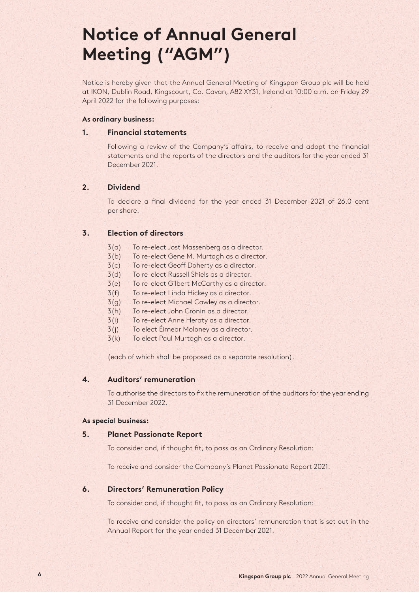# **Notice of Annual General Meeting ("AGM")**

Notice is hereby given that the Annual General Meeting of Kingspan Group plc will be held at IKON, Dublin Road, Kingscourt, Co. Cavan, A82 XY31, Ireland at 10:00 a.m. on Friday 29 April 2022 for the following purposes:

### **As ordinary business:**

### **1. Financial statements**

Following a review of the Company's affairs, to receive and adopt the financial statements and the reports of the directors and the auditors for the year ended 31 December 2021.

## **2. Dividend**

To declare a final dividend for the year ended 31 December 2021 of 26.0 cent per share.

## **3. Election of directors**

- 3(a) To re-elect Jost Massenberg as a director.
- 3(b) To re-elect Gene M. Murtagh as a director.
- 3(c) To re-elect Geoff Doherty as a director.
- 3(d) To re-elect Russell Shiels as a director.
- 3(e) To re-elect Gilbert McCarthy as a director.
- 3(f) To re-elect Linda Hickey as a director.
- 3(g) To re-elect Michael Cawley as a director.
- 3(h) To re-elect John Cronin as a director.
- 3(i) To re-elect Anne Heraty as a director.
- 3(j) To elect Éimear Moloney as a director.
- 3(k) To elect Paul Murtagh as a director.

(each of which shall be proposed as a separate resolution).

## **4. Auditors' remuneration**

To authorise the directors to fix the remuneration of the auditors for the year ending 31 December 2022.

#### **As special business:**

#### **5. Planet Passionate Report**

To consider and, if thought fit, to pass as an Ordinary Resolution:

To receive and consider the Company's Planet Passionate Report 2021.

## **6. Directors' Remuneration Policy**

To consider and, if thought fit, to pass as an Ordinary Resolution:

To receive and consider the policy on directors' remuneration that is set out in the Annual Report for the year ended 31 December 2021.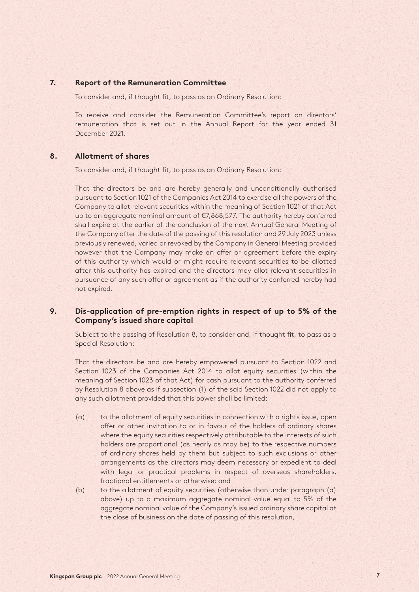## **7. Report of the Remuneration Committee**

To consider and, if thought fit, to pass as an Ordinary Resolution:

To receive and consider the Remuneration Committee's report on directors' remuneration that is set out in the Annual Report for the year ended 31 December 2021.

#### **8. Allotment of shares**

To consider and, if thought fit, to pass as an Ordinary Resolution:

That the directors be and are hereby generally and unconditionally authorised pursuant to Section 1021 of the Companies Act 2014 to exercise all the powers of the Company to allot relevant securities within the meaning of Section 1021 of that Act up to an aggregate nominal amount of €7,868,577. The authority hereby conferred shall expire at the earlier of the conclusion of the next Annual General Meeting of the Company after the date of the passing of this resolution and 29 July 2023 unless previously renewed, varied or revoked by the Company in General Meeting provided however that the Company may make an offer or agreement before the expiry of this authority which would or might require relevant securities to be allotted after this authority has expired and the directors may allot relevant securities in pursuance of any such offer or agreement as if the authority conferred hereby had not expired.

## **9. Dis-application of pre-emption rights in respect of up to 5% of the Company's issued share capital**

Subject to the passing of Resolution 8, to consider and, if thought fit, to pass as a Special Resolution:

That the directors be and are hereby empowered pursuant to Section 1022 and Section 1023 of the Companies Act 2014 to allot equity securities (within the meaning of Section 1023 of that Act) for cash pursuant to the authority conferred by Resolution 8 above as if subsection (1) of the said Section 1022 did not apply to any such allotment provided that this power shall be limited:

- (a) to the allotment of equity securities in connection with a rights issue, open offer or other invitation to or in favour of the holders of ordinary shares where the equity securities respectively attributable to the interests of such holders are proportional (as nearly as may be) to the respective numbers of ordinary shares held by them but subject to such exclusions or other arrangements as the directors may deem necessary or expedient to deal with legal or practical problems in respect of overseas shareholders, fractional entitlements or otherwise; and
- (b) to the allotment of equity securities (otherwise than under paragraph (a) above) up to a maximum aggregate nominal value equal to 5% of the aggregate nominal value of the Company's issued ordinary share capital at the close of business on the date of passing of this resolution,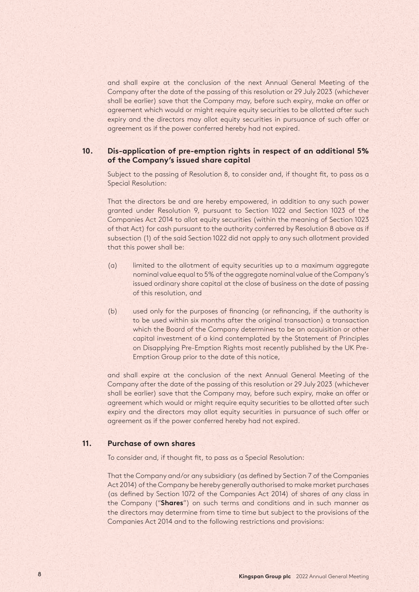and shall expire at the conclusion of the next Annual General Meeting of the Company after the date of the passing of this resolution or 29 July 2023 (whichever shall be earlier) save that the Company may, before such expiry, make an offer or agreement which would or might require equity securities to be allotted after such expiry and the directors may allot equity securities in pursuance of such offer or agreement as if the power conferred hereby had not expired.

## **10. Dis-application of pre-emption rights in respect of an additional 5% of the Company's issued share capital**

Subject to the passing of Resolution 8, to consider and, if thought fit, to pass as a Special Resolution:

That the directors be and are hereby empowered, in addition to any such power granted under Resolution 9, pursuant to Section 1022 and Section 1023 of the Companies Act 2014 to allot equity securities (within the meaning of Section 1023 of that Act) for cash pursuant to the authority conferred by Resolution 8 above as if subsection (1) of the said Section 1022 did not apply to any such allotment provided that this power shall be:

- (a) limited to the allotment of equity securities up to a maximum aggregate nominal value equal to 5% of the aggregate nominal value of the Company's issued ordinary share capital at the close of business on the date of passing of this resolution, and
- (b) used only for the purposes of financing (or refinancing, if the authority is to be used within six months after the original transaction) a transaction which the Board of the Company determines to be an acquisition or other capital investment of a kind contemplated by the Statement of Principles on Disapplying Pre-Emption Rights most recently published by the UK Pre-Emption Group prior to the date of this notice,

and shall expire at the conclusion of the next Annual General Meeting of the Company after the date of the passing of this resolution or 29 July 2023 (whichever shall be earlier) save that the Company may, before such expiry, make an offer or agreement which would or might require equity securities to be allotted after such expiry and the directors may allot equity securities in pursuance of such offer or agreement as if the power conferred hereby had not expired.

#### **11. Purchase of own shares**

To consider and, if thought fit, to pass as a Special Resolution:

That the Company and/or any subsidiary (as defined by Section 7 of the Companies Act 2014) of the Company be hereby generally authorised to make market purchases (as defined by Section 1072 of the Companies Act 2014) of shares of any class in the Company ("**Shares**") on such terms and conditions and in such manner as the directors may determine from time to time but subject to the provisions of the Companies Act 2014 and to the following restrictions and provisions: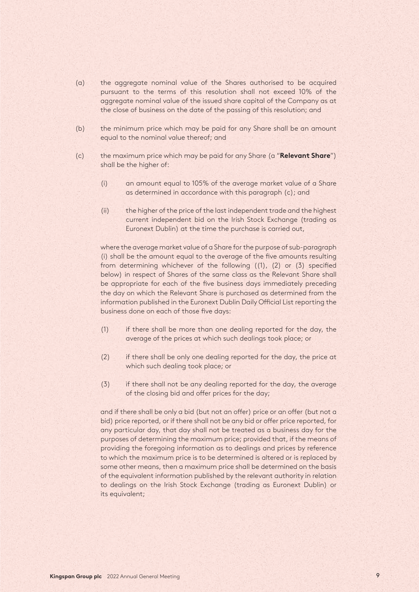- (a) the aggregate nominal value of the Shares authorised to be acquired pursuant to the terms of this resolution shall not exceed 10% of the aggregate nominal value of the issued share capital of the Company as at the close of business on the date of the passing of this resolution; and
- (b) the minimum price which may be paid for any Share shall be an amount equal to the nominal value thereof; and
- (c) the maximum price which may be paid for any Share (a "**Relevant Share**") shall be the higher of:
	- (i) an amount equal to 105% of the average market value of a Share as determined in accordance with this paragraph (c); and
	- (ii) the higher of the price of the last independent trade and the highest current independent bid on the Irish Stock Exchange (trading as Euronext Dublin) at the time the purchase is carried out,

where the average market value of a Share for the purpose of sub-paragraph (i) shall be the amount equal to the average of the five amounts resulting from determining whichever of the following ((1), (2) or (3) specified below) in respect of Shares of the same class as the Relevant Share shall be appropriate for each of the five business days immediately preceding the day on which the Relevant Share is purchased as determined from the information published in the Euronext Dublin Daily Official List reporting the business done on each of those five days:

- (1) if there shall be more than one dealing reported for the day, the average of the prices at which such dealings took place; or
- (2) if there shall be only one dealing reported for the day, the price at which such dealing took place; or
- (3) if there shall not be any dealing reported for the day, the average of the closing bid and offer prices for the day;

and if there shall be only a bid (but not an offer) price or an offer (but not a bid) price reported, or if there shall not be any bid or offer price reported, for any particular day, that day shall not be treated as a business day for the purposes of determining the maximum price; provided that, if the means of providing the foregoing information as to dealings and prices by reference to which the maximum price is to be determined is altered or is replaced by some other means, then a maximum price shall be determined on the basis of the equivalent information published by the relevant authority in relation to dealings on the Irish Stock Exchange (trading as Euronext Dublin) or its equivalent;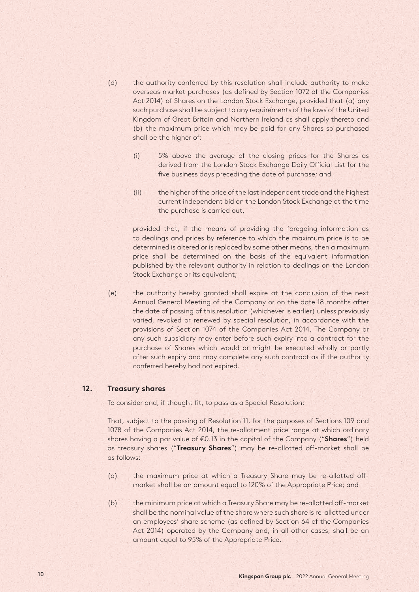- (d) the authority conferred by this resolution shall include authority to make overseas market purchases (as defined by Section 1072 of the Companies Act 2014) of Shares on the London Stock Exchange, provided that (a) any such purchase shall be subject to any requirements of the laws of the United Kingdom of Great Britain and Northern Ireland as shall apply thereto and (b) the maximum price which may be paid for any Shares so purchased shall be the higher of:
	- (i) 5% above the average of the closing prices for the Shares as derived from the London Stock Exchange Daily Official List for the five business days preceding the date of purchase; and
	- (ii) the higher of the price of the last independent trade and the highest current independent bid on the London Stock Exchange at the time the purchase is carried out,

provided that, if the means of providing the foregoing information as to dealings and prices by reference to which the maximum price is to be determined is altered or is replaced by some other means, then a maximum price shall be determined on the basis of the equivalent information published by the relevant authority in relation to dealings on the London Stock Exchange or its equivalent;

(e) the authority hereby granted shall expire at the conclusion of the next Annual General Meeting of the Company or on the date 18 months after the date of passing of this resolution (whichever is earlier) unless previously varied, revoked or renewed by special resolution, in accordance with the provisions of Section 1074 of the Companies Act 2014. The Company or any such subsidiary may enter before such expiry into a contract for the purchase of Shares which would or might be executed wholly or partly after such expiry and may complete any such contract as if the authority conferred hereby had not expired.

#### **12. Treasury shares**

To consider and, if thought fit, to pass as a Special Resolution:

That, subject to the passing of Resolution 11, for the purposes of Sections 109 and 1078 of the Companies Act 2014, the re-allotment price range at which ordinary shares having a par value of €0.13 in the capital of the Company ("**Shares**") held as treasury shares ("**Treasury Shares**") may be re-allotted off-market shall be as follows:

- (a) the maximum price at which a Treasury Share may be re-allotted offmarket shall be an amount equal to 120% of the Appropriate Price; and
- (b) the minimum price at which a Treasury Share may be re-allotted off-market shall be the nominal value of the share where such share is re-allotted under an employees' share scheme (as defined by Section 64 of the Companies Act 2014) operated by the Company and, in all other cases, shall be an amount equal to 95% of the Appropriate Price.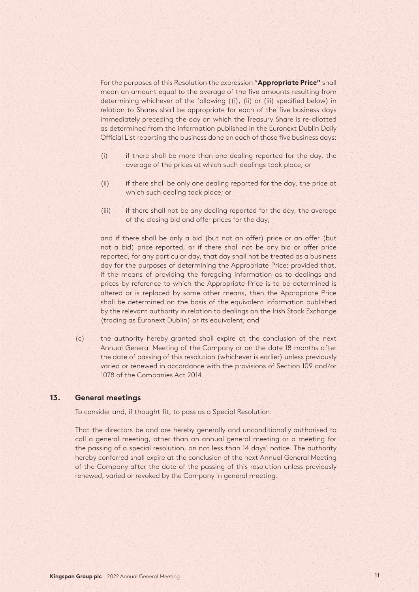For the purposes of this Resolution the expression "**Appropriate Price"** shall mean an amount equal to the average of the five amounts resulting from determining whichever of the following ((i), (ii) or (iii) specified below) in relation to Shares shall be appropriate for each of the five business days immediately preceding the day on which the Treasury Share is re-allotted as determined from the information published in the Euronext Dublin Daily Official List reporting the business done on each of those five business days:

- (i) if there shall be more than one dealing reported for the day, the average of the prices at which such dealings took place; or
- (ii) if there shall be only one dealing reported for the day, the price at which such dealing took place; or
- (iii) if there shall not be any dealing reported for the day, the average of the closing bid and offer prices for the day;

and if there shall be only a bid (but not an offer) price or an offer (but not a bid) price reported, or if there shall not be any bid or offer price reported, for any particular day, that day shall not be treated as a business day for the purposes of determining the Appropriate Price; provided that, if the means of providing the foregoing information as to dealings and prices by reference to which the Appropriate Price is to be determined is altered or is replaced by some other means, then the Appropriate Price shall be determined on the basis of the equivalent information published by the relevant authority in relation to dealings on the Irish Stock Exchange (trading as Euronext Dublin) or its equivalent; and

(c) the authority hereby granted shall expire at the conclusion of the next Annual General Meeting of the Company or on the date 18 months after the date of passing of this resolution (whichever is earlier) unless previously varied or renewed in accordance with the provisions of Section 109 and/or 1078 of the Companies Act 2014.

## **13. General meetings**

To consider and, if thought fit, to pass as a Special Resolution:

That the directors be and are hereby generally and unconditionally authorised to call a general meeting, other than an annual general meeting or a meeting for the passing of a special resolution, on not less than 14 days' notice. The authority hereby conferred shall expire at the conclusion of the next Annual General Meeting of the Company after the date of the passing of this resolution unless previously renewed, varied or revoked by the Company in general meeting.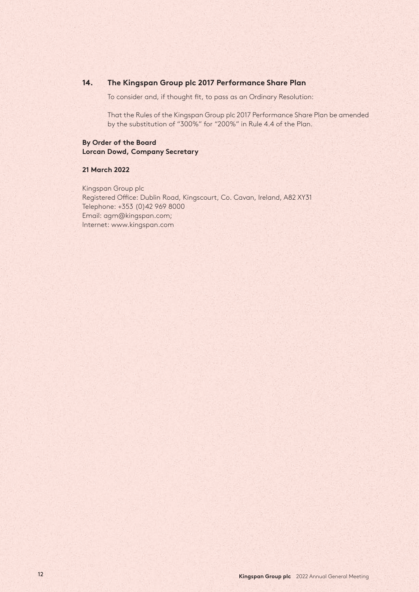## **14. The Kingspan Group plc 2017 Performance Share Plan**

To consider and, if thought fit, to pass as an Ordinary Resolution:

That the Rules of the Kingspan Group plc 2017 Performance Share Plan be amended by the substitution of "300%" for "200%" in Rule 4.4 of the Plan.

#### **By Order of the Board Lorcan Dowd, Company Secretary**

#### **21 March 2022**

Kingspan Group plc Registered Office: Dublin Road, Kingscourt, Co. Cavan, Ireland, A82 XY31 Telephone: +353 (0)42 969 8000 Email: agm@kingspan.com; Internet: www.kingspan.com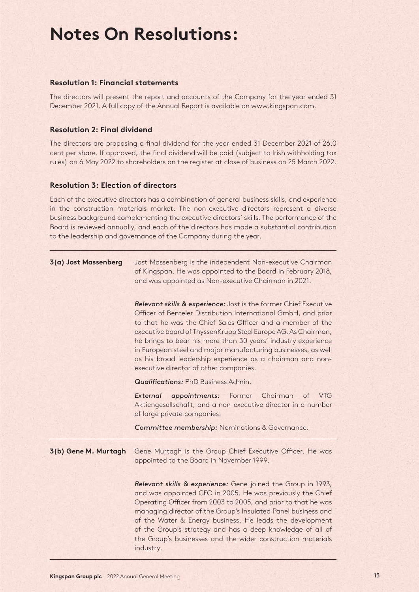# **Notes On Resolutions:**

### **Resolution 1: Financial statements**

The directors will present the report and accounts of the Company for the year ended 31 December 2021. A full copy of the Annual Report is available on www.kingspan.com.

## **Resolution 2: Final dividend**

The directors are proposing a final dividend for the year ended 31 December 2021 of 26.0 cent per share. If approved, the final dividend will be paid (subject to Irish withholding tax rules) on 6 May 2022 to shareholders on the register at close of business on 25 March 2022.

#### **Resolution 3: Election of directors**

Each of the executive directors has a combination of general business skills, and experience in the construction materials market. The non-executive directors represent a diverse business background complementing the executive directors' skills. The performance of the Board is reviewed annually, and each of the directors has made a substantial contribution to the leadership and governance of the Company during the year.

| 3(a) Jost Massenberg | Jost Massenberg is the independent Non-executive Chairman<br>of Kingspan. He was appointed to the Board in February 2018,<br>and was appointed as Non-executive Chairman in 2021.                                                                                                                                                                                                                                                                                                                          |
|----------------------|------------------------------------------------------------------------------------------------------------------------------------------------------------------------------------------------------------------------------------------------------------------------------------------------------------------------------------------------------------------------------------------------------------------------------------------------------------------------------------------------------------|
|                      | Relevant skills & experience: Jost is the former Chief Executive<br>Officer of Benteler Distribution International GmbH, and prior<br>to that he was the Chief Sales Officer and a member of the<br>executive board of ThyssenKrupp Steel Europe AG. As Chairman,<br>he brings to bear his more than 30 years' industry experience<br>in European steel and major manufacturing businesses, as well<br>as his broad leadership experience as a chairman and non-<br>executive director of other companies. |
|                      | <b>Qualifications: PhD Business Admin.</b>                                                                                                                                                                                                                                                                                                                                                                                                                                                                 |
|                      | Former Chairman<br>External<br>appointments:<br><b>VTG</b><br><b>of</b><br>Aktiengesellschaft, and a non-executive director in a number<br>of large private companies.                                                                                                                                                                                                                                                                                                                                     |
|                      | Committee membership: Nominations & Governance.                                                                                                                                                                                                                                                                                                                                                                                                                                                            |
| 3(b) Gene M. Murtagh | Gene Murtagh is the Group Chief Executive Officer. He was<br>appointed to the Board in November 1999.                                                                                                                                                                                                                                                                                                                                                                                                      |
|                      | Relevant skills & experience: Gene joined the Group in 1993,<br>and was appointed CEO in 2005. He was previously the Chief<br>Operating Officer from 2003 to 2005, and prior to that he was<br>managing director of the Group's Insulated Panel business and<br>of the Water & Energy business. He leads the development<br>of the Group's strategy and has a deep knowledge of all of<br>the Group's businesses and the wider construction materials<br>industry.                                         |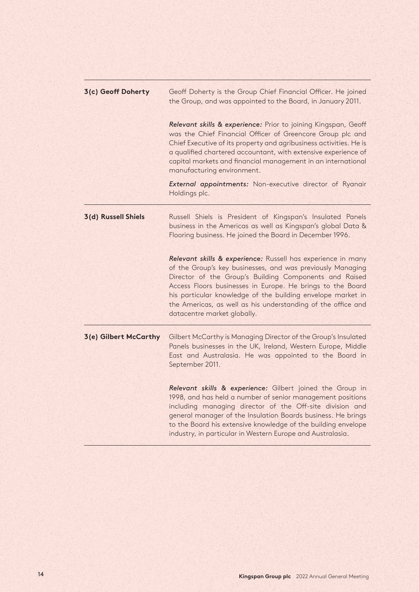| 3(c) Geoff Doherty    | Geoff Doherty is the Group Chief Financial Officer. He joined<br>the Group, and was appointed to the Board, in January 2011.                                                                                                                                                                                                                                                                                     |
|-----------------------|------------------------------------------------------------------------------------------------------------------------------------------------------------------------------------------------------------------------------------------------------------------------------------------------------------------------------------------------------------------------------------------------------------------|
|                       | Relevant skills & experience: Prior to joining Kingspan, Geoff<br>was the Chief Financial Officer of Greencore Group plc and<br>Chief Executive of its property and agribusiness activities. He is<br>a qualified chartered accountant, with extensive experience of<br>capital markets and financial management in an international<br>manufacturing environment.                                               |
|                       | External appointments: Non-executive director of Ryanair<br>Holdings plc.                                                                                                                                                                                                                                                                                                                                        |
| 3(d) Russell Shiels   | Russell Shiels is President of Kingspan's Insulated Panels<br>business in the Americas as well as Kingspan's global Data &<br>Flooring business. He joined the Board in December 1996.                                                                                                                                                                                                                           |
|                       | Relevant skills & experience: Russell has experience in many<br>of the Group's key businesses, and was previously Managing<br>Director of the Group's Building Components and Raised<br>Access Floors businesses in Europe. He brings to the Board<br>his particular knowledge of the building envelope market in<br>the Americas, as well as his understanding of the office and<br>datacentre market globally. |
| 3(e) Gilbert McCarthy | Gilbert McCarthy is Managing Director of the Group's Insulated<br>Panels businesses in the UK, Ireland, Western Europe, Middle<br>East and Australasia. He was appointed to the Board in<br>September 2011.                                                                                                                                                                                                      |
|                       | Relevant skills & experience: Gilbert joined the Group in<br>1998, and has held a number of senior management positions<br>including managing director of the Off-site division and<br>general manager of the Insulation Boards business. He brings<br>to the Board his extensive knowledge of the building envelope<br>industry, in particular in Western Europe and Australasia.                               |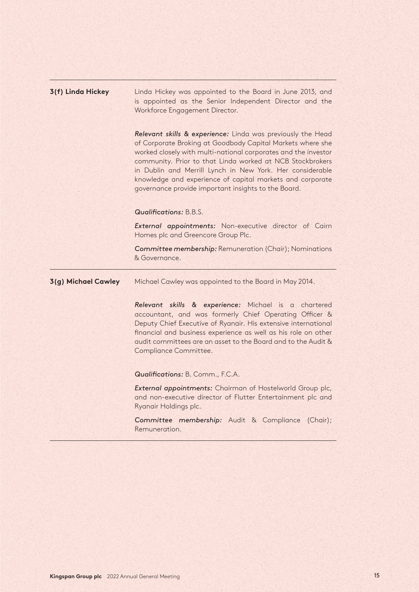| 3(f) Linda Hickey   | Linda Hickey was appointed to the Board in June 2013, and<br>is appointed as the Senior Independent Director and the<br>Workforce Engagement Director.                                                                                                                                                                                                                                                                                    |
|---------------------|-------------------------------------------------------------------------------------------------------------------------------------------------------------------------------------------------------------------------------------------------------------------------------------------------------------------------------------------------------------------------------------------------------------------------------------------|
|                     | Relevant skills & experience: Linda was previously the Head<br>of Corporate Broking at Goodbody Capital Markets where she<br>worked closely with multi-national corporates and the investor<br>community. Prior to that Linda worked at NCB Stockbrokers<br>in Dublin and Merrill Lynch in New York. Her considerable<br>knowledge and experience of capital markets and corporate<br>governance provide important insights to the Board. |
|                     | <b>Qualifications: B.B.S.</b>                                                                                                                                                                                                                                                                                                                                                                                                             |
|                     | External appointments: Non-executive director of Cairn<br>Homes plc and Greencore Group Plc.                                                                                                                                                                                                                                                                                                                                              |
|                     | Committee membership: Remuneration (Chair); Nominations<br>& Governance.                                                                                                                                                                                                                                                                                                                                                                  |
| 3(g) Michael Cawley | Michael Cawley was appointed to the Board in May 2014.                                                                                                                                                                                                                                                                                                                                                                                    |
|                     | Relevant skills & experience: Michael is a chartered<br>accountant, and was formerly Chief Operating Officer &<br>Deputy Chief Executive of Ryanair. His extensive international<br>financial and business experience as well as his role on other<br>audit committees are an asset to the Board and to the Audit &<br>Compliance Committee.                                                                                              |
|                     | Qualifications: B. Comm., F.C.A.                                                                                                                                                                                                                                                                                                                                                                                                          |
|                     | External appointments: Chairman of Hostelworld Group plc,<br>and non-executive director of Flutter Entertainment plc and<br>Ryanair Holdings plc.                                                                                                                                                                                                                                                                                         |
|                     | Committee membership: Audit & Compliance<br>(Chair);<br>Remuneration.                                                                                                                                                                                                                                                                                                                                                                     |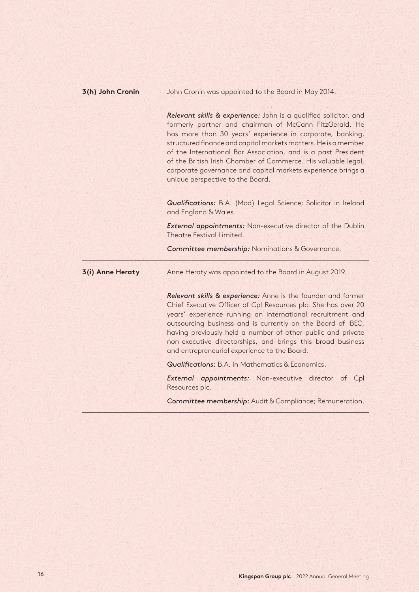| 3(h) John Cronin | John Cronin was appointed to the Board in May 2014.                                                                                                                                                                                                                                                                                                                                                                                                                                             |
|------------------|-------------------------------------------------------------------------------------------------------------------------------------------------------------------------------------------------------------------------------------------------------------------------------------------------------------------------------------------------------------------------------------------------------------------------------------------------------------------------------------------------|
|                  | Relevant skills & experience: John is a qualified solicitor, and<br>formerly partner and chairman of McCann FitzGerald. He<br>has more than 30 years' experience in corporate, banking,<br>structured finance and capital markets matters. He is a member<br>of the International Bar Association, and is a past President<br>of the British Irish Chamber of Commerce. His valuable legal,<br>corporate governance and capital markets experience brings a<br>unique perspective to the Board. |
|                  | Qualifications: B.A. (Mod) Legal Science; Solicitor in Ireland<br>and England & Wales.                                                                                                                                                                                                                                                                                                                                                                                                          |
|                  | <b>External appointments:</b> Non-executive director of the Dublin<br>Theatre Festival Limited.                                                                                                                                                                                                                                                                                                                                                                                                 |
|                  | Committee membership: Nominations & Governance.                                                                                                                                                                                                                                                                                                                                                                                                                                                 |
| 3(i) Anne Heraty | Anne Heraty was appointed to the Board in August 2019.                                                                                                                                                                                                                                                                                                                                                                                                                                          |
|                  | Relevant skills & experience: Anne is the founder and former                                                                                                                                                                                                                                                                                                                                                                                                                                    |
|                  | Chief Executive Officer of Cpl Resources plc. She has over 20<br>years' experience running an international recruitment and<br>outsourcing business and is currently on the Board of IBEC,<br>having previously held a number of other public and private<br>non-executive directorships, and brings this broad business<br>and entrepreneurial experience to the Board.                                                                                                                        |
|                  | <b>Qualifications:</b> B.A. in Mathematics & Economics.                                                                                                                                                                                                                                                                                                                                                                                                                                         |
|                  | External appointments: Non-executive director of Cpl<br>Resources plc.                                                                                                                                                                                                                                                                                                                                                                                                                          |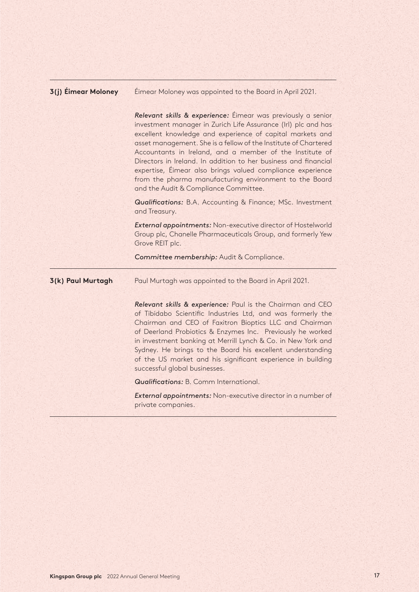| <b>3(j) Éimear Moloney</b> | Eimear Moloney was appointed to the Board in April 2021.                                                                                                                                                                                                                                                                                                                                                                                                                                                                                                      |
|----------------------------|---------------------------------------------------------------------------------------------------------------------------------------------------------------------------------------------------------------------------------------------------------------------------------------------------------------------------------------------------------------------------------------------------------------------------------------------------------------------------------------------------------------------------------------------------------------|
|                            | Relevant skills & experience: Eimear was previously a senior<br>investment manager in Zurich Life Assurance (Irl) plc and has<br>excellent knowledge and experience of capital markets and<br>asset management. She is a fellow of the Institute of Chartered<br>Accountants in Ireland, and a member of the Institute of<br>Directors in Ireland. In addition to her business and financial<br>expertise, Éimear also brings valued compliance experience<br>from the pharma manufacturing environment to the Board<br>and the Audit & Compliance Committee. |
|                            | <b>Qualifications:</b> B.A. Accounting & Finance; MSc. Investment<br>and Treasury.                                                                                                                                                                                                                                                                                                                                                                                                                                                                            |
|                            | External appointments: Non-executive director of Hostelworld<br>Group plc, Chanelle Pharmaceuticals Group, and formerly Yew<br>Grove REIT plc.                                                                                                                                                                                                                                                                                                                                                                                                                |
|                            | Committee membership: Audit & Compliance.                                                                                                                                                                                                                                                                                                                                                                                                                                                                                                                     |
| 3(k) Paul Murtagh          | Paul Murtagh was appointed to the Board in April 2021.                                                                                                                                                                                                                                                                                                                                                                                                                                                                                                        |
|                            | Relevant skills & experience: Paul is the Chairman and CEO                                                                                                                                                                                                                                                                                                                                                                                                                                                                                                    |
|                            | of Tibidabo Scientific Industries Ltd, and was formerly the<br>Chairman and CEO of Faxitron Bioptics LLC and Chairman<br>of Deerland Probiotics & Enzymes Inc. Previously he worked<br>in investment banking at Merrill Lynch & Co. in New York and<br>Sydney. He brings to the Board his excellent understanding<br>of the US market and his significant experience in building<br>successful global businesses.                                                                                                                                             |
|                            | <b>Qualifications:</b> B. Comm International.                                                                                                                                                                                                                                                                                                                                                                                                                                                                                                                 |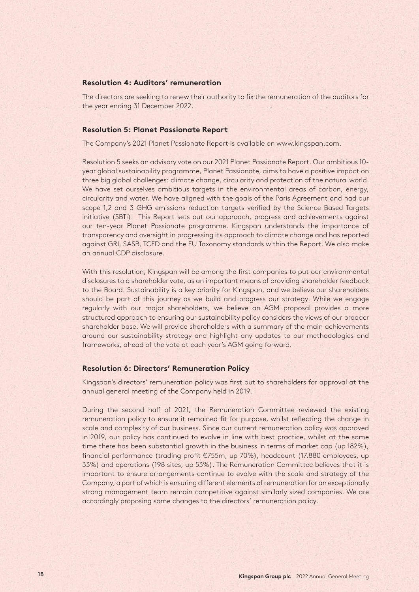#### **Resolution 4: Auditors' remuneration**

The directors are seeking to renew their authority to fix the remuneration of the auditors for the year ending 31 December 2022.

#### **Resolution 5: Planet Passionate Report**

The Company's 2021 Planet Passionate Report is available on www.kingspan.com.

Resolution 5 seeks an advisory vote on our 2021 Planet Passionate Report. Our ambitious 10 year global sustainability programme, Planet Passionate, aims to have a positive impact on three big global challenges: climate change, circularity and protection of the natural world. We have set ourselves ambitious targets in the environmental areas of carbon, energy, circularity and water. We have aligned with the goals of the Paris Agreement and had our scope 1,2 and 3 GHG emissions reduction targets verified by the Science Based Targets initiative (SBTi). This Report sets out our approach, progress and achievements against our ten-year Planet Passionate programme. Kingspan understands the importance of transparency and oversight in progressing its approach to climate change and has reported against GRI, SASB, TCFD and the EU Taxonomy standards within the Report. We also make an annual CDP disclosure.

With this resolution, Kingspan will be among the first companies to put our environmental disclosures to a shareholder vote, as an important means of providing shareholder feedback to the Board. Sustainability is a key priority for Kingspan, and we believe our shareholders should be part of this journey as we build and progress our strategy. While we engage regularly with our major shareholders, we believe an AGM proposal provides a more structured approach to ensuring our sustainability policy considers the views of our broader shareholder base. We will provide shareholders with a summary of the main achievements around our sustainability strategy and highlight any updates to our methodologies and frameworks, ahead of the vote at each year's AGM going forward.

#### **Resolution 6: Directors' Remuneration Policy**

Kingspan's directors' remuneration policy was first put to shareholders for approval at the annual general meeting of the Company held in 2019.

During the second half of 2021, the Remuneration Committee reviewed the existing remuneration policy to ensure it remained fit for purpose, whilst reflecting the change in scale and complexity of our business. Since our current remuneration policy was approved in 2019, our policy has continued to evolve in line with best practice, whilst at the same time there has been substantial growth in the business in terms of market cap (up 182%), financial performance (trading profit €755m, up 70%), headcount (17,880 employees, up 33%) and operations (198 sites, up 53%). The Remuneration Committee believes that it is important to ensure arrangements continue to evolve with the scale and strategy of the Company, a part of which is ensuring different elements of remuneration for an exceptionally strong management team remain competitive against similarly sized companies. We are accordingly proposing some changes to the directors' remuneration policy.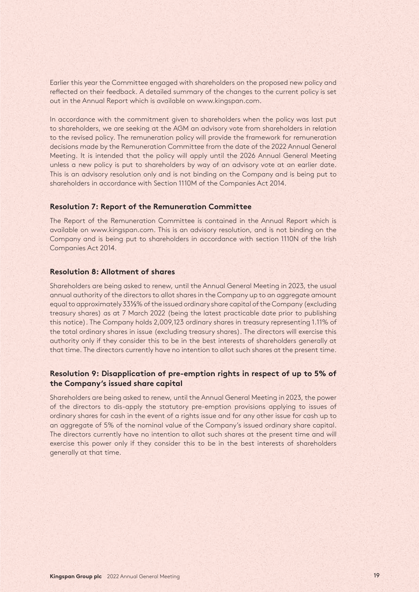Earlier this year the Committee engaged with shareholders on the proposed new policy and reflected on their feedback. A detailed summary of the changes to the current policy is set out in the Annual Report which is available on www.kingspan.com.

In accordance with the commitment given to shareholders when the policy was last put to shareholders, we are seeking at the AGM an advisory vote from shareholders in relation to the revised policy. The remuneration policy will provide the framework for remuneration decisions made by the Remuneration Committee from the date of the 2022 Annual General Meeting. It is intended that the policy will apply until the 2026 Annual General Meeting unless a new policy is put to shareholders by way of an advisory vote at an earlier date. This is an advisory resolution only and is not binding on the Company and is being put to shareholders in accordance with Section 1110M of the Companies Act 2014.

#### **Resolution 7: Report of the Remuneration Committee**

The Report of the Remuneration Committee is contained in the Annual Report which is available on www.kingspan.com. This is an advisory resolution, and is not binding on the Company and is being put to shareholders in accordance with section 1110N of the Irish Companies Act 2014.

#### **Resolution 8: Allotment of shares**

Shareholders are being asked to renew, until the Annual General Meeting in 2023, the usual annual authority of the directors to allot shares in the Company up to an aggregate amount equal to approximately 33⅓% of the issued ordinary share capital of the Company (excluding treasury shares) as at 7 March 2022 (being the latest practicable date prior to publishing this notice). The Company holds 2,009,123 ordinary shares in treasury representing 1.11% of the total ordinary shares in issue (excluding treasury shares). The directors will exercise this authority only if they consider this to be in the best interests of shareholders generally at that time. The directors currently have no intention to allot such shares at the present time.

## **Resolution 9: Disapplication of pre-emption rights in respect of up to 5% of the Company's issued share capital**

Shareholders are being asked to renew, until the Annual General Meeting in 2023, the power of the directors to dis-apply the statutory pre-emption provisions applying to issues of ordinary shares for cash in the event of a rights issue and for any other issue for cash up to an aggregate of 5% of the nominal value of the Company's issued ordinary share capital. The directors currently have no intention to allot such shares at the present time and will exercise this power only if they consider this to be in the best interests of shareholders generally at that time.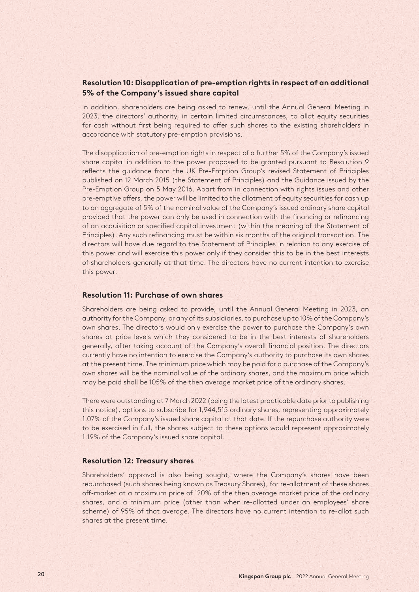## **Resolution 10: Disapplication of pre-emption rights in respect of an additional 5% of the Company's issued share capital**

In addition, shareholders are being asked to renew, until the Annual General Meeting in 2023, the directors' authority, in certain limited circumstances, to allot equity securities for cash without first being required to offer such shares to the existing shareholders in accordance with statutory pre-emption provisions.

The disapplication of pre-emption rights in respect of a further 5% of the Company's issued share capital in addition to the power proposed to be granted pursuant to Resolution 9 reflects the guidance from the UK Pre-Emption Group's revised Statement of Principles published on 12 March 2015 (the Statement of Principles) and the Guidance issued by the Pre-Emption Group on 5 May 2016. Apart from in connection with rights issues and other pre-emptive offers, the power will be limited to the allotment of equity securities for cash up to an aggregate of 5% of the nominal value of the Company's issued ordinary share capital provided that the power can only be used in connection with the financing or refinancing of an acquisition or specified capital investment (within the meaning of the Statement of Principles). Any such refinancing must be within six months of the original transaction. The directors will have due regard to the Statement of Principles in relation to any exercise of this power and will exercise this power only if they consider this to be in the best interests of shareholders generally at that time. The directors have no current intention to exercise this power.

### **Resolution 11: Purchase of own shares**

Shareholders are being asked to provide, until the Annual General Meeting in 2023, an authority for the Company, or any of its subsidiaries, to purchase up to 10% of the Company's own shares. The directors would only exercise the power to purchase the Company's own shares at price levels which they considered to be in the best interests of shareholders generally, after taking account of the Company's overall financial position. The directors currently have no intention to exercise the Company's authority to purchase its own shares at the present time. The minimum price which may be paid for a purchase of the Company's own shares will be the nominal value of the ordinary shares, and the maximum price which may be paid shall be 105% of the then average market price of the ordinary shares.

There were outstanding at 7 March 2022 (being the latest practicable date prior to publishing this notice), options to subscribe for 1,944,515 ordinary shares, representing approximately 1.07% of the Company's issued share capital at that date. If the repurchase authority were to be exercised in full, the shares subject to these options would represent approximately 1.19% of the Company's issued share capital.

#### **Resolution 12: Treasury shares**

Shareholders' approval is also being sought, where the Company's shares have been repurchased (such shares being known as Treasury Shares), for re-allotment of these shares off-market at a maximum price of 120% of the then average market price of the ordinary shares, and a minimum price (other than when re-allotted under an employees' share scheme) of 95% of that average. The directors have no current intention to re-allot such shares at the present time.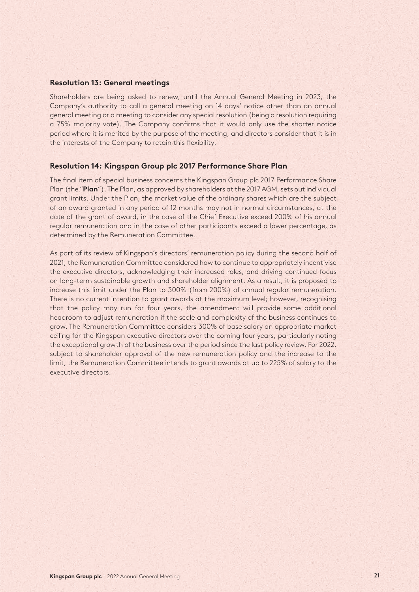#### **Resolution 13: General meetings**

Shareholders are being asked to renew, until the Annual General Meeting in 2023, the Company's authority to call a general meeting on 14 days' notice other than an annual general meeting or a meeting to consider any special resolution (being a resolution requiring a 75% majority vote). The Company confirms that it would only use the shorter notice period where it is merited by the purpose of the meeting, and directors consider that it is in the interests of the Company to retain this flexibility.

#### **Resolution 14: Kingspan Group plc 2017 Performance Share Plan**

The final item of special business concerns the Kingspan Group plc 2017 Performance Share Plan (the "**Plan**"). The Plan, as approved by shareholders at the 2017 AGM, sets out individual grant limits. Under the Plan, the market value of the ordinary shares which are the subject of an award granted in any period of 12 months may not in normal circumstances, at the date of the grant of award, in the case of the Chief Executive exceed 200% of his annual regular remuneration and in the case of other participants exceed a lower percentage, as determined by the Remuneration Committee.

As part of its review of Kingspan's directors' remuneration policy during the second half of 2021, the Remuneration Committee considered how to continue to appropriately incentivise the executive directors, acknowledging their increased roles, and driving continued focus on long-term sustainable growth and shareholder alignment. As a result, it is proposed to increase this limit under the Plan to 300% (from 200%) of annual regular remuneration. There is no current intention to grant awards at the maximum level; however, recognising that the policy may run for four years, the amendment will provide some additional headroom to adjust remuneration if the scale and complexity of the business continues to grow. The Remuneration Committee considers 300% of base salary an appropriate market ceiling for the Kingspan executive directors over the coming four years, particularly noting the exceptional growth of the business over the period since the last policy review. For 2022, subject to shareholder approval of the new remuneration policy and the increase to the limit, the Remuneration Committee intends to grant awards at up to 225% of salary to the executive directors.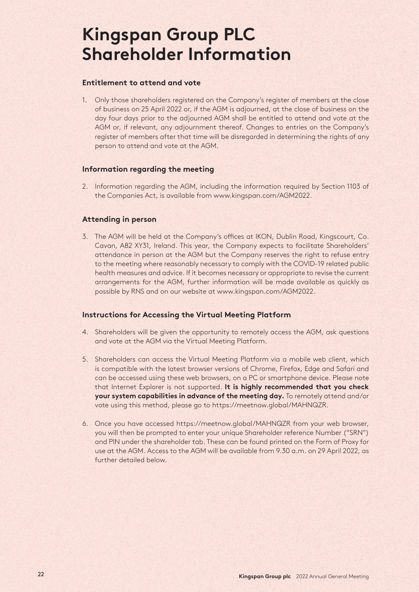# **Kingspan Group PLC Shareholder Information**

### **Entitlement to attend and vote**

1. Only those shareholders registered on the Company's register of members at the close of business on 25 April 2022 or, if the AGM is adjourned, at the close of business on the day four days prior to the adjourned AGM shall be entitled to attend and vote at the AGM or, if relevant, any adjournment thereof. Changes to entries on the Company's register of members after that time will be disregarded in determining the rights of any person to attend and vote at the AGM.

## **Information regarding the meeting**

2. Information regarding the AGM, including the information required by Section 1103 of the Companies Act, is available from www.kingspan.com/AGM2022.

## **Attending in person**

3. The AGM will be held at the Company's offices at IKON, Dublin Road, Kingscourt, Co. Cavan, A82 XY31, Ireland. This year, the Company expects to facilitate Shareholders' attendance in person at the AGM but the Company reserves the right to refuse entry to the meeting where reasonably necessary to comply with the COVID-19 related public health measures and advice. If it becomes necessary or appropriate to revise the current arrangements for the AGM, further information will be made available as quickly as possible by RNS and on our website at www.kingspan.com/AGM2022.

#### **Instructions for Accessing the Virtual Meeting Platform**

- 4. Shareholders will be given the opportunity to remotely access the AGM, ask questions and vote at the AGM via the Virtual Meeting Platform.
- 5. Shareholders can access the Virtual Meeting Platform via a mobile web client, which is compatible with the latest browser versions of Chrome, Firefox, Edge and Safari and can be accessed using these web browsers, on a PC or smartphone device. Please note that Internet Explorer is not supported. **It is highly recommended that you check your system capabilities in advance of the meeting day.** To remotely attend and/or vote using this method, please go to https://meetnow.global/MAHNQZR.
- 6. Once you have accessed https://meetnow.global/MAHNQZR from your web browser, you will then be prompted to enter your unique Shareholder reference Number ("SRN") and PIN under the shareholder tab. These can be found printed on the Form of Proxy for use at the AGM. Access to the AGM will be available from 9.30 a.m. on 29 April 2022, as further detailed below.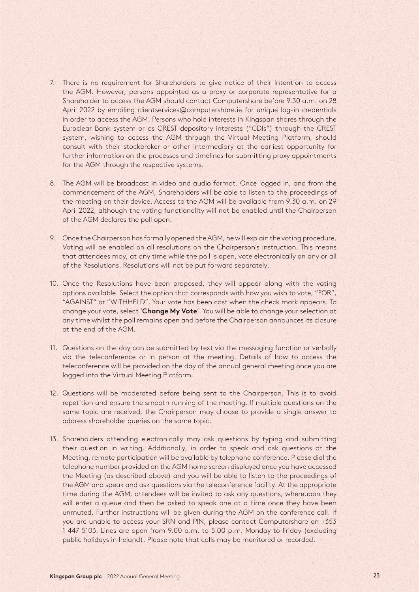- 7. There is no requirement for Shareholders to give notice of their intention to access the AGM. However, persons appointed as a proxy or corporate representative for a Shareholder to access the AGM should contact Computershare before 9.30 a.m. on 28 April 2022 by emailing clientservices@computershare.ie for unique log-in credentials in order to access the AGM. Persons who hold interests in Kingspan shares through the Euroclear Bank system or as CREST depository interests ("CDIs") through the CREST system, wishing to access the AGM through the Virtual Meeting Platform, should consult with their stockbroker or other intermediary at the earliest opportunity for further information on the processes and timelines for submitting proxy appointments for the AGM through the respective systems.
- 8. The AGM will be broadcast in video and audio format. Once logged in, and from the commencement of the AGM, Shareholders will be able to listen to the proceedings of the meeting on their device. Access to the AGM will be available from 9.30 a.m. on 29 April 2022, although the voting functionality will not be enabled until the Chairperson of the AGM declares the poll open.
- 9. Once the Chairperson has formally opened the AGM, he will explain the voting procedure. Voting will be enabled on all resolutions on the Chairperson's instruction. This means that attendees may, at any time while the poll is open, vote electronically on any or all of the Resolutions. Resolutions will not be put forward separately.
- 10. Once the Resolutions have been proposed, they will appear along with the voting options available. Select the option that corresponds with how you wish to vote, "FOR", "AGAINST" or "WITHHELD". Your vote has been cast when the check mark appears. To change your vote, select '**Change My Vote**'. You will be able to change your selection at any time whilst the poll remains open and before the Chairperson announces its closure at the end of the AGM.
- 11. Questions on the day can be submitted by text via the messaging function or verbally via the teleconference or in person at the meeting. Details of how to access the teleconference will be provided on the day of the annual general meeting once you are logged into the Virtual Meeting Platform.
- 12. Questions will be moderated before being sent to the Chairperson. This is to avoid repetition and ensure the smooth running of the meeting. If multiple questions on the same topic are received, the Chairperson may choose to provide a single answer to address shareholder queries on the same topic.
- 13. Shareholders attending electronically may ask questions by typing and submitting their question in writing. Additionally, in order to speak and ask questions at the Meeting, remote participation will be available by telephone conference. Please dial the telephone number provided on the AGM home screen displayed once you have accessed the Meeting (as described above) and you will be able to listen to the proceedings of the AGM and speak and ask questions via the teleconference facility. At the appropriate time during the AGM, attendees will be invited to ask any questions, whereupon they will enter a queue and then be asked to speak one at a time once they have been unmuted. Further instructions will be given during the AGM on the conference call. If you are unable to access your SRN and PIN, please contact Computershare on +353 1 447 5103. Lines are open from 9.00 a.m. to 5.00 p.m. Monday to Friday (excluding public holidays in Ireland). Please note that calls may be monitored or recorded.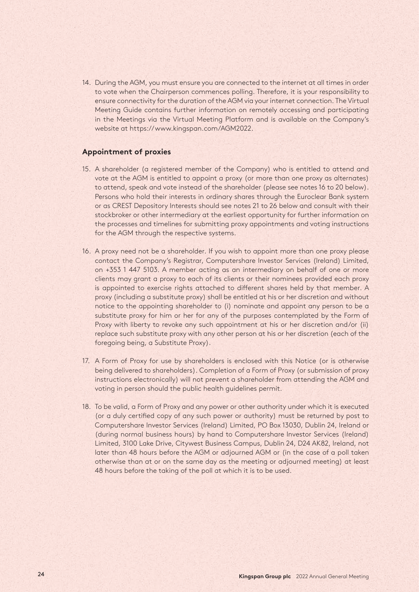14. During the AGM, you must ensure you are connected to the internet at all times in order to vote when the Chairperson commences polling. Therefore, it is your responsibility to ensure connectivity for the duration of the AGM via your internet connection. The Virtual Meeting Guide contains further information on remotely accessing and participating in the Meetings via the Virtual Meeting Platform and is available on the Company's website at https://www.kingspan.com/AGM2022.

## **Appointment of proxies**

- 15. A shareholder (a registered member of the Company) who is entitled to attend and vote at the AGM is entitled to appoint a proxy (or more than one proxy as alternates) to attend, speak and vote instead of the shareholder (please see notes 16 to 20 below). Persons who hold their interests in ordinary shares through the Euroclear Bank system or as CREST Depository Interests should see notes 21 to 26 below and consult with their stockbroker or other intermediary at the earliest opportunity for further information on the processes and timelines for submitting proxy appointments and voting instructions for the AGM through the respective systems.
- 16. A proxy need not be a shareholder. If you wish to appoint more than one proxy please contact the Company's Registrar, Computershare Investor Services (Ireland) Limited, on +353 1 447 5103. A member acting as an intermediary on behalf of one or more clients may grant a proxy to each of its clients or their nominees provided each proxy is appointed to exercise rights attached to different shares held by that member. A proxy (including a substitute proxy) shall be entitled at his or her discretion and without notice to the appointing shareholder to (i) nominate and appoint any person to be a substitute proxy for him or her for any of the purposes contemplated by the Form of Proxy with liberty to revoke any such appointment at his or her discretion and/or (ii) replace such substitute proxy with any other person at his or her discretion (each of the foregoing being, a Substitute Proxy).
- 17. A Form of Proxy for use by shareholders is enclosed with this Notice (or is otherwise being delivered to shareholders). Completion of a Form of Proxy (or submission of proxy instructions electronically) will not prevent a shareholder from attending the AGM and voting in person should the public health guidelines permit.
- 18. To be valid, a Form of Proxy and any power or other authority under which it is executed (or a duly certified copy of any such power or authority) must be returned by post to Computershare Investor Services (Ireland) Limited, PO Box 13030, Dublin 24, Ireland or (during normal business hours) by hand to Computershare Investor Services (Ireland) Limited, 3100 Lake Drive, Citywest Business Campus, Dublin 24, D24 AK82, Ireland, not later than 48 hours before the AGM or adjourned AGM or (in the case of a poll taken otherwise than at or on the same day as the meeting or adjourned meeting) at least 48 hours before the taking of the poll at which it is to be used.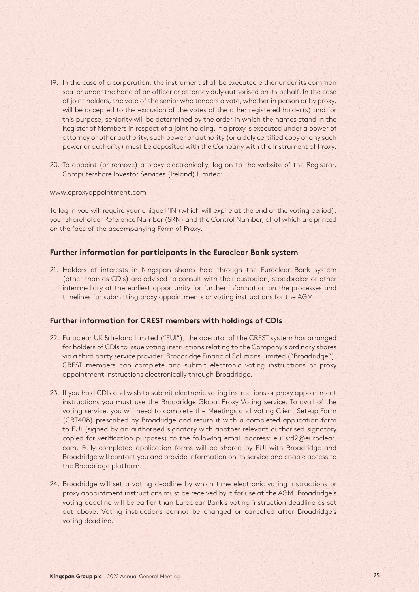- 19. In the case of a corporation, the instrument shall be executed either under its common seal or under the hand of an officer or attorney duly authorised on its behalf. In the case of joint holders, the vote of the senior who tenders a vote, whether in person or by proxy, will be accepted to the exclusion of the votes of the other registered holder(s) and for this purpose, seniority will be determined by the order in which the names stand in the Register of Members in respect of a joint holding. If a proxy is executed under a power of attorney or other authority, such power or authority (or a duly certified copy of any such power or authority) must be deposited with the Company with the Instrument of Proxy.
- 20. To appoint (or remove) a proxy electronically, log on to the website of the Registrar, Computershare Investor Services (Ireland) Limited:

#### www.eproxyappointment.com

To log in you will require your unique PIN (which will expire at the end of the voting period), your Shareholder Reference Number (SRN) and the Control Number, all of which are printed on the face of the accompanying Form of Proxy.

#### **Further information for participants in the Euroclear Bank system**

21. Holders of interests in Kingspan shares held through the Euroclear Bank system (other than as CDIs) are advised to consult with their custodian, stockbroker or other intermediary at the earliest opportunity for further information on the processes and timelines for submitting proxy appointments or voting instructions for the AGM.

#### **Further information for CREST members with holdings of CDIs**

- 22. Euroclear UK & Ireland Limited ("EUI"), the operator of the CREST system has arranged for holders of CDIs to issue voting instructions relating to the Company's ordinary shares via a third party service provider, Broadridge Financial Solutions Limited ("Broadridge"). CREST members can complete and submit electronic voting instructions or proxy appointment instructions electronically through Broadridge.
- 23. If you hold CDIs and wish to submit electronic voting instructions or proxy appointment instructions you must use the Broadridge Global Proxy Voting service. To avail of the voting service, you will need to complete the Meetings and Voting Client Set-up Form (CRT408) prescribed by Broadridge and return it with a completed application form to EUI (signed by an authorised signatory with another relevant authorised signatory copied for verification purposes) to the following email address: eui.srd2@euroclear. com. Fully completed application forms will be shared by EUI with Broadridge and Broadridge will contact you and provide information on its service and enable access to the Broadridge platform.
- 24. Broadridge will set a voting deadline by which time electronic voting instructions or proxy appointment instructions must be received by it for use at the AGM. Broadridge's voting deadline will be earlier than Euroclear Bank's voting instruction deadline as set out above. Voting instructions cannot be changed or cancelled after Broadridge's voting deadline.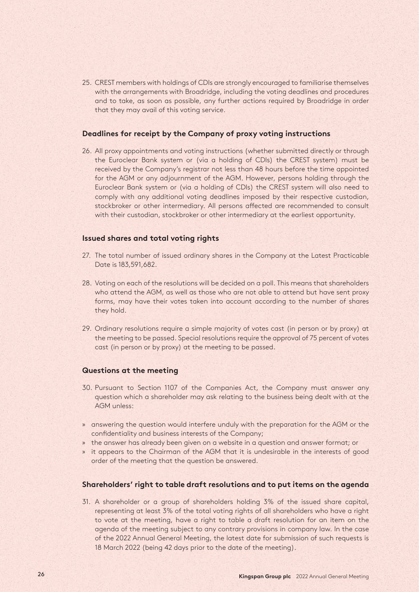25. CREST members with holdings of CDIs are strongly encouraged to familiarise themselves with the arrangements with Broadridge, including the voting deadlines and procedures and to take, as soon as possible, any further actions required by Broadridge in order that they may avail of this voting service.

#### **Deadlines for receipt by the Company of proxy voting instructions**

26. All proxy appointments and voting instructions (whether submitted directly or through the Euroclear Bank system or (via a holding of CDIs) the CREST system) must be received by the Company's registrar not less than 48 hours before the time appointed for the AGM or any adjournment of the AGM. However, persons holding through the Euroclear Bank system or (via a holding of CDIs) the CREST system will also need to comply with any additional voting deadlines imposed by their respective custodian, stockbroker or other intermediary. All persons affected are recommended to consult with their custodian, stockbroker or other intermediary at the earliest opportunity.

#### **Issued shares and total voting rights**

- 27. The total number of issued ordinary shares in the Company at the Latest Practicable Date is 183,591,682.
- 28. Voting on each of the resolutions will be decided on a poll. This means that shareholders who attend the AGM, as well as those who are not able to attend but have sent proxy forms, may have their votes taken into account according to the number of shares they hold.
- 29. Ordinary resolutions require a simple majority of votes cast (in person or by proxy) at the meeting to be passed. Special resolutions require the approval of 75 percent of votes cast (in person or by proxy) at the meeting to be passed.

#### **Questions at the meeting**

- 30. Pursuant to Section 1107 of the Companies Act, the Company must answer any question which a shareholder may ask relating to the business being dealt with at the AGM unless:
- » answering the question would interfere unduly with the preparation for the AGM or the confidentiality and business interests of the Company;
- » the answer has already been given on a website in a question and answer format; or
- » it appears to the Chairman of the AGM that it is undesirable in the interests of good order of the meeting that the question be answered.

#### **Shareholders' right to table draft resolutions and to put items on the agenda**

31. A shareholder or a group of shareholders holding 3% of the issued share capital, representing at least 3% of the total voting rights of all shareholders who have a right to vote at the meeting, have a right to table a draft resolution for an item on the agenda of the meeting subject to any contrary provisions in company law. In the case of the 2022 Annual General Meeting, the latest date for submission of such requests is 18 March 2022 (being 42 days prior to the date of the meeting).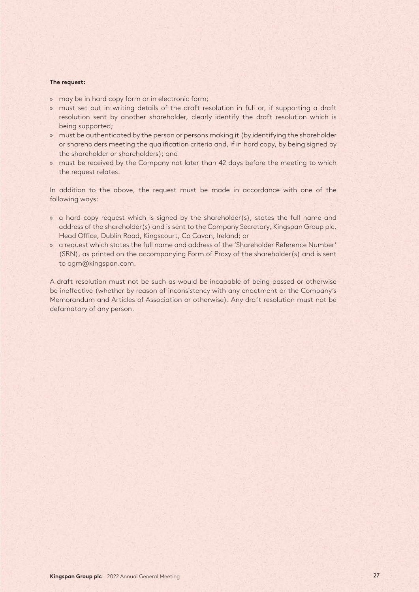#### **The request:**

- » may be in hard copy form or in electronic form;
- » must set out in writing details of the draft resolution in full or, if supporting a draft resolution sent by another shareholder, clearly identify the draft resolution which is being supported;
- » must be authenticated by the person or persons making it (by identifying the shareholder or shareholders meeting the qualification criteria and, if in hard copy, by being signed by the shareholder or shareholders); and
- » must be received by the Company not later than 42 days before the meeting to which the request relates.

In addition to the above, the request must be made in accordance with one of the following ways:

- » a hard copy request which is signed by the shareholder(s), states the full name and address of the shareholder(s) and is sent to the Company Secretary, Kingspan Group plc, Head Office, Dublin Road, Kingscourt, Co Cavan, Ireland; or
- » a request which states the full name and address of the 'Shareholder Reference Number' (SRN), as printed on the accompanying Form of Proxy of the shareholder(s) and is sent to agm@kingspan.com.

A draft resolution must not be such as would be incapable of being passed or otherwise be ineffective (whether by reason of inconsistency with any enactment or the Company's Memorandum and Articles of Association or otherwise). Any draft resolution must not be defamatory of any person.